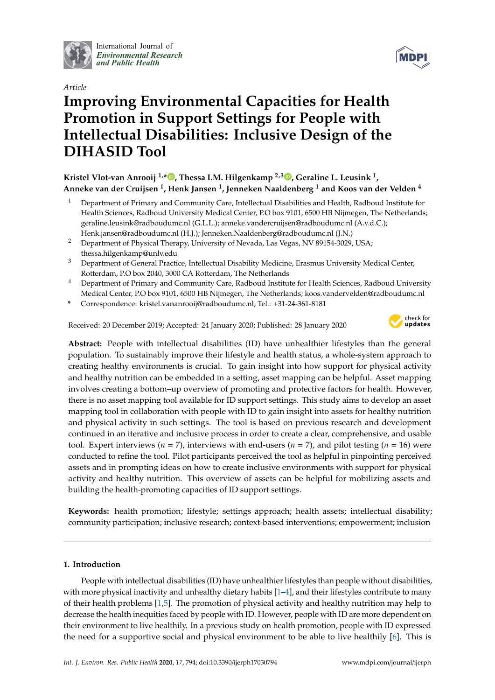

International Journal of *[Environmental Research](http://www.mdpi.com/journal/ijerph) and Public Health*



# *Article* **Improving Environmental Capacities for Health Promotion in Support Settings for People with Intellectual Disabilities: Inclusive Design of the DIHASID Tool**

# **Kristel Vlot-van Anrooij 1,[\\*](https://orcid.org/0000-0001-5628-7387) , Thessa I.M. Hilgenkamp 2,3 [,](https://orcid.org/0000-0001-9882-163X) Geraline L. Leusink <sup>1</sup> , Anneke van der Cruijsen <sup>1</sup> , Henk Jansen <sup>1</sup> , Jenneken Naaldenberg <sup>1</sup> and Koos van der Velden <sup>4</sup>**

- <sup>1</sup> Department of Primary and Community Care, Intellectual Disabilities and Health, Radboud Institute for Health Sciences, Radboud University Medical Center, P.O box 9101, 6500 HB Nijmegen, The Netherlands; geraline.leusink@radboudumc.nl (G.L.L.); anneke.vandercruijsen@radboudumc.nl (A.v.d.C.); Henk.jansen@radboudumc.nl (H.J.); Jenneken.Naaldenberg@radboudumc.nl (J.N.)
- <sup>2</sup> Department of Physical Therapy, University of Nevada, Las Vegas, NV 89154-3029, USA; thessa.hilgenkamp@unlv.edu
- <sup>3</sup> Department of General Practice, Intellectual Disability Medicine, Erasmus University Medical Center, Rotterdam, P.O box 2040, 3000 CA Rotterdam, The Netherlands
- <sup>4</sup> Department of Primary and Community Care, Radboud Institute for Health Sciences, Radboud University Medical Center, P.O box 9101, 6500 HB Nijmegen, The Netherlands; koos.vandervelden@radboudumc.nl
- **\*** Correspondence: kristel.vananrooij@radboudumc.nl; Tel.: +31-24-361-8181

Received: 20 December 2019; Accepted: 24 January 2020; Published: 28 January 2020



**Abstract:** People with intellectual disabilities (ID) have unhealthier lifestyles than the general population. To sustainably improve their lifestyle and health status, a whole-system approach to creating healthy environments is crucial. To gain insight into how support for physical activity and healthy nutrition can be embedded in a setting, asset mapping can be helpful. Asset mapping involves creating a bottom–up overview of promoting and protective factors for health. However, there is no asset mapping tool available for ID support settings. This study aims to develop an asset mapping tool in collaboration with people with ID to gain insight into assets for healthy nutrition and physical activity in such settings. The tool is based on previous research and development continued in an iterative and inclusive process in order to create a clear, comprehensive, and usable tool. Expert interviews ( $n = 7$ ), interviews with end-users ( $n = 7$ ), and pilot testing ( $n = 16$ ) were conducted to refine the tool. Pilot participants perceived the tool as helpful in pinpointing perceived assets and in prompting ideas on how to create inclusive environments with support for physical activity and healthy nutrition. This overview of assets can be helpful for mobilizing assets and building the health-promoting capacities of ID support settings.

**Keywords:** health promotion; lifestyle; settings approach; health assets; intellectual disability; community participation; inclusive research; context-based interventions; empowerment; inclusion

## **1. Introduction**

People with intellectual disabilities (ID) have unhealthier lifestyles than people without disabilities, with more physical inactivity and unhealthy dietary habits [\[1](#page-9-0)[–4\]](#page-9-1), and their lifestyles contribute to many of their health problems [\[1,](#page-9-0)[5\]](#page-9-2). The promotion of physical activity and healthy nutrition may help to decrease the health inequities faced by people with ID. However, people with ID are more dependent on their environment to live healthily. In a previous study on health promotion, people with ID expressed the need for a supportive social and physical environment to be able to live healthily [\[6\]](#page-9-3). This is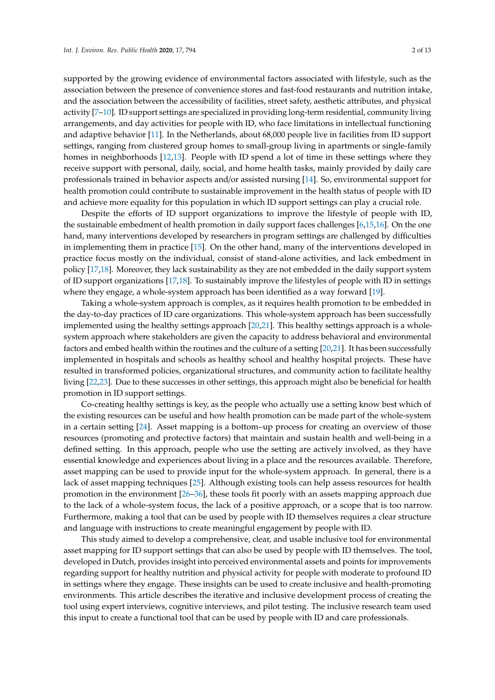supported by the growing evidence of environmental factors associated with lifestyle, such as the association between the presence of convenience stores and fast-food restaurants and nutrition intake, and the association between the accessibility of facilities, street safety, aesthetic attributes, and physical activity [\[7–](#page-10-0)[10\]](#page-10-1). ID support settings are specialized in providing long-term residential, community living arrangements, and day activities for people with ID, who face limitations in intellectual functioning and adaptive behavior [\[11\]](#page-10-2). In the Netherlands, about 68,000 people live in facilities from ID support settings, ranging from clustered group homes to small-group living in apartments or single-family homes in neighborhoods [\[12](#page-10-3)[,13\]](#page-10-4). People with ID spend a lot of time in these settings where they receive support with personal, daily, social, and home health tasks, mainly provided by daily care professionals trained in behavior aspects and/or assisted nursing [\[14\]](#page-10-5). So, environmental support for health promotion could contribute to sustainable improvement in the health status of people with ID and achieve more equality for this population in which ID support settings can play a crucial role.

Despite the efforts of ID support organizations to improve the lifestyle of people with ID, the sustainable embedment of health promotion in daily support faces challenges [\[6](#page-9-3)[,15,](#page-10-6)[16\]](#page-10-7). On the one hand, many interventions developed by researchers in program settings are challenged by difficulties in implementing them in practice [\[15\]](#page-10-6). On the other hand, many of the interventions developed in practice focus mostly on the individual, consist of stand-alone activities, and lack embedment in policy [\[17](#page-10-8)[,18\]](#page-10-9). Moreover, they lack sustainability as they are not embedded in the daily support system of ID support organizations [\[17,](#page-10-8)[18\]](#page-10-9). To sustainably improve the lifestyles of people with ID in settings where they engage, a whole-system approach has been identified as a way forward [\[19\]](#page-10-10).

Taking a whole-system approach is complex, as it requires health promotion to be embedded in the day-to-day practices of ID care organizations. This whole-system approach has been successfully implemented using the healthy settings approach [\[20,](#page-10-11)[21\]](#page-10-12). This healthy settings approach is a wholesystem approach where stakeholders are given the capacity to address behavioral and environmental factors and embed health within the routines and the culture of a setting [\[20,](#page-10-11)[21\]](#page-10-12). It has been successfully implemented in hospitals and schools as healthy school and healthy hospital projects. These have resulted in transformed policies, organizational structures, and community action to facilitate healthy living [\[22](#page-10-13)[,23\]](#page-10-14). Due to these successes in other settings, this approach might also be beneficial for health promotion in ID support settings.

Co-creating healthy settings is key, as the people who actually use a setting know best which of the existing resources can be useful and how health promotion can be made part of the whole-system in a certain setting [\[24\]](#page-10-15). Asset mapping is a bottom–up process for creating an overview of those resources (promoting and protective factors) that maintain and sustain health and well-being in a defined setting. In this approach, people who use the setting are actively involved, as they have essential knowledge and experiences about living in a place and the resources available. Therefore, asset mapping can be used to provide input for the whole-system approach. In general, there is a lack of asset mapping techniques [\[25\]](#page-10-16). Although existing tools can help assess resources for health promotion in the environment [\[26–](#page-10-17)[36\]](#page-11-0), these tools fit poorly with an assets mapping approach due to the lack of a whole-system focus, the lack of a positive approach, or a scope that is too narrow. Furthermore, making a tool that can be used by people with ID themselves requires a clear structure and language with instructions to create meaningful engagement by people with ID.

This study aimed to develop a comprehensive, clear, and usable inclusive tool for environmental asset mapping for ID support settings that can also be used by people with ID themselves. The tool, developed in Dutch, provides insight into perceived environmental assets and points for improvements regarding support for healthy nutrition and physical activity for people with moderate to profound ID in settings where they engage. These insights can be used to create inclusive and health-promoting environments. This article describes the iterative and inclusive development process of creating the tool using expert interviews, cognitive interviews, and pilot testing. The inclusive research team used this input to create a functional tool that can be used by people with ID and care professionals.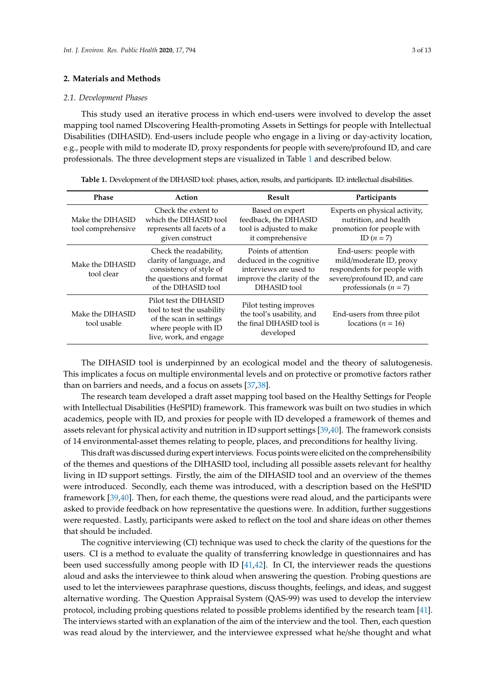#### **2. Materials and Methods**

#### *2.1. Development Phases*

This study used an iterative process in which end-users were involved to develop the asset mapping tool named DIscovering Health-promoting Assets in Settings for people with Intellectual Disabilities (DIHASID). End-users include people who engage in a living or day-activity location, e.g., people with mild to moderate ID, proxy respondents for people with severe/profound ID, and care professionals. The three development steps are visualized in Table [1](#page-2-0) and described below.

<span id="page-2-0"></span>**Table 1.** Development of the DIHASID tool: phases, action, results, and participants. ID: intellectual disabilities.

| <b>Phase</b>                           | Action                                                                                                                            | Result                                                                                                                  | Participants                                                                                                                                  |
|----------------------------------------|-----------------------------------------------------------------------------------------------------------------------------------|-------------------------------------------------------------------------------------------------------------------------|-----------------------------------------------------------------------------------------------------------------------------------------------|
| Make the DIHASID<br>tool comprehensive | Check the extent to<br>which the DIHASID tool<br>represents all facets of a<br>given construct                                    | Based on expert<br>feedback, the DIHASID<br>tool is adjusted to make<br>it comprehensive                                | Experts on physical activity,<br>nutrition, and health<br>promotion for people with<br>ID $(n=7)$                                             |
| Make the DIHASID<br>tool clear         | Check the readability,<br>clarity of language, and<br>consistency of style of<br>the questions and format<br>of the DIHASID tool  | Points of attention<br>deduced in the cognitive<br>interviews are used to<br>improve the clarity of the<br>DIHASID tool | End-users: people with<br>mild/moderate ID, proxy<br>respondents for people with<br>severe/profound ID, and care<br>professionals ( $n = 7$ ) |
| Make the DIHASID<br>tool usable        | Pilot test the DIHASID<br>tool to test the usability<br>of the scan in settings<br>where people with ID<br>live, work, and engage | Pilot testing improves<br>the tool's usability, and<br>the final DIHASID tool is<br>developed                           | End-users from three pilot<br>locations ( $n = 16$ )                                                                                          |

The DIHASID tool is underpinned by an ecological model and the theory of salutogenesis. This implicates a focus on multiple environmental levels and on protective or promotive factors rather than on barriers and needs, and a focus on assets [\[37,](#page-11-1)[38\]](#page-11-2).

The research team developed a draft asset mapping tool based on the Healthy Settings for People with Intellectual Disabilities (HeSPID) framework. This framework was built on two studies in which academics, people with ID, and proxies for people with ID developed a framework of themes and assets relevant for physical activity and nutrition in ID support settings [\[39](#page-11-3)[,40\]](#page-11-4). The framework consists of 14 environmental-asset themes relating to people, places, and preconditions for healthy living.

This draft was discussed during expert interviews. Focus points were elicited on the comprehensibility of the themes and questions of the DIHASID tool, including all possible assets relevant for healthy living in ID support settings. Firstly, the aim of the DIHASID tool and an overview of the themes were introduced. Secondly, each theme was introduced, with a description based on the HeSPID framework [\[39](#page-11-3)[,40\]](#page-11-4). Then, for each theme, the questions were read aloud, and the participants were asked to provide feedback on how representative the questions were. In addition, further suggestions were requested. Lastly, participants were asked to reflect on the tool and share ideas on other themes that should be included.

The cognitive interviewing (CI) technique was used to check the clarity of the questions for the users. CI is a method to evaluate the quality of transferring knowledge in questionnaires and has been used successfully among people with ID  $[41,42]$  $[41,42]$ . In CI, the interviewer reads the questions aloud and asks the interviewee to think aloud when answering the question. Probing questions are used to let the interviewees paraphrase questions, discuss thoughts, feelings, and ideas, and suggest alternative wording. The Question Appraisal System (QAS-99) was used to develop the interview protocol, including probing questions related to possible problems identified by the research team [\[41\]](#page-11-5). The interviews started with an explanation of the aim of the interview and the tool. Then, each question was read aloud by the interviewer, and the interviewee expressed what he/she thought and what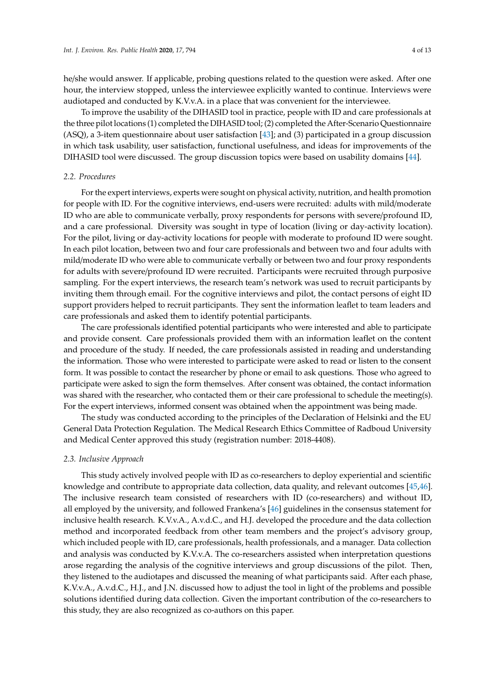he/she would answer. If applicable, probing questions related to the question were asked. After one hour, the interview stopped, unless the interviewee explicitly wanted to continue. Interviews were audiotaped and conducted by K.V.v.A. in a place that was convenient for the interviewee.

To improve the usability of the DIHASID tool in practice, people with ID and care professionals at the three pilot locations (1) completed the DIHASID tool; (2) completed the After-Scenario Questionnaire (ASQ), a 3-item questionnaire about user satisfaction [\[43\]](#page-11-7); and (3) participated in a group discussion in which task usability, user satisfaction, functional usefulness, and ideas for improvements of the DIHASID tool were discussed. The group discussion topics were based on usability domains [\[44\]](#page-11-8).

#### *2.2. Procedures*

For the expert interviews, experts were sought on physical activity, nutrition, and health promotion for people with ID. For the cognitive interviews, end-users were recruited: adults with mild/moderate ID who are able to communicate verbally, proxy respondents for persons with severe/profound ID, and a care professional. Diversity was sought in type of location (living or day-activity location). For the pilot, living or day-activity locations for people with moderate to profound ID were sought. In each pilot location, between two and four care professionals and between two and four adults with mild/moderate ID who were able to communicate verbally or between two and four proxy respondents for adults with severe/profound ID were recruited. Participants were recruited through purposive sampling. For the expert interviews, the research team's network was used to recruit participants by inviting them through email. For the cognitive interviews and pilot, the contact persons of eight ID support providers helped to recruit participants. They sent the information leaflet to team leaders and care professionals and asked them to identify potential participants.

The care professionals identified potential participants who were interested and able to participate and provide consent. Care professionals provided them with an information leaflet on the content and procedure of the study. If needed, the care professionals assisted in reading and understanding the information. Those who were interested to participate were asked to read or listen to the consent form. It was possible to contact the researcher by phone or email to ask questions. Those who agreed to participate were asked to sign the form themselves. After consent was obtained, the contact information was shared with the researcher, who contacted them or their care professional to schedule the meeting(s). For the expert interviews, informed consent was obtained when the appointment was being made.

The study was conducted according to the principles of the Declaration of Helsinki and the EU General Data Protection Regulation. The Medical Research Ethics Committee of Radboud University and Medical Center approved this study (registration number: 2018-4408).

#### *2.3. Inclusive Approach*

This study actively involved people with ID as co-researchers to deploy experiential and scientific knowledge and contribute to appropriate data collection, data quality, and relevant outcomes [\[45,](#page-11-9)[46\]](#page-11-10). The inclusive research team consisted of researchers with ID (co-researchers) and without ID, all employed by the university, and followed Frankena's [\[46\]](#page-11-10) guidelines in the consensus statement for inclusive health research. K.V.v.A., A.v.d.C., and H.J. developed the procedure and the data collection method and incorporated feedback from other team members and the project's advisory group, which included people with ID, care professionals, health professionals, and a manager. Data collection and analysis was conducted by K.V.v.A. The co-researchers assisted when interpretation questions arose regarding the analysis of the cognitive interviews and group discussions of the pilot. Then, they listened to the audiotapes and discussed the meaning of what participants said. After each phase, K.V.v.A., A.v.d.C., H.J., and J.N. discussed how to adjust the tool in light of the problems and possible solutions identified during data collection. Given the important contribution of the co-researchers to this study, they are also recognized as co-authors on this paper.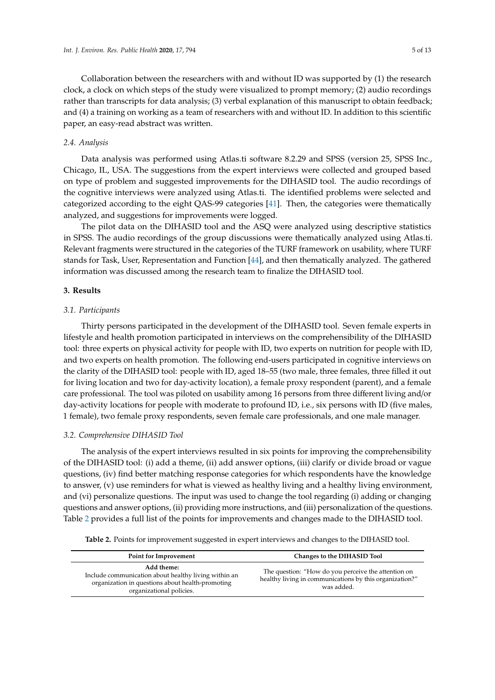Collaboration between the researchers with and without ID was supported by (1) the research clock, a clock on which steps of the study were visualized to prompt memory; (2) audio recordings rather than transcripts for data analysis; (3) verbal explanation of this manuscript to obtain feedback; and (4) a training on working as a team of researchers with and without ID. In addition to this scientific paper, an easy-read abstract was written.

#### *2.4. Analysis*

Data analysis was performed using Atlas.ti software 8.2.29 and SPSS (version 25, SPSS Inc., Chicago, IL, USA. The suggestions from the expert interviews were collected and grouped based on type of problem and suggested improvements for the DIHASID tool. The audio recordings of the cognitive interviews were analyzed using Atlas.ti. The identified problems were selected and categorized according to the eight QAS-99 categories [\[41\]](#page-11-5). Then, the categories were thematically analyzed, and suggestions for improvements were logged.

The pilot data on the DIHASID tool and the ASQ were analyzed using descriptive statistics in SPSS. The audio recordings of the group discussions were thematically analyzed using Atlas.ti. Relevant fragments were structured in the categories of the TURF framework on usability, where TURF stands for Task, User, Representation and Function [\[44\]](#page-11-8), and then thematically analyzed. The gathered information was discussed among the research team to finalize the DIHASID tool.

#### **3. Results**

#### *3.1. Participants*

Thirty persons participated in the development of the DIHASID tool. Seven female experts in lifestyle and health promotion participated in interviews on the comprehensibility of the DIHASID tool: three experts on physical activity for people with ID, two experts on nutrition for people with ID, and two experts on health promotion. The following end-users participated in cognitive interviews on the clarity of the DIHASID tool: people with ID, aged 18–55 (two male, three females, three filled it out for living location and two for day-activity location), a female proxy respondent (parent), and a female care professional. The tool was piloted on usability among 16 persons from three different living and/or day-activity locations for people with moderate to profound ID, i.e., six persons with ID (five males, 1 female), two female proxy respondents, seven female care professionals, and one male manager.

#### *3.2. Comprehensive DIHASID Tool*

The analysis of the expert interviews resulted in six points for improving the comprehensibility of the DIHASID tool: (i) add a theme, (ii) add answer options, (iii) clarify or divide broad or vague questions, (iv) find better matching response categories for which respondents have the knowledge to answer, (v) use reminders for what is viewed as healthy living and a healthy living environment, and (vi) personalize questions. The input was used to change the tool regarding (i) adding or changing questions and answer options, (ii) providing more instructions, and (iii) personalization of the questions. Table [2](#page-5-0) provides a full list of the points for improvements and changes made to the DIHASID tool.

**Table 2.** Points for improvement suggested in expert interviews and changes to the DIHASID tool.

| Point for Improvement                                                                                                                              | Changes to the DIHASID Tool                                                                                                  |  |
|----------------------------------------------------------------------------------------------------------------------------------------------------|------------------------------------------------------------------------------------------------------------------------------|--|
| Add theme:<br>Include communication about healthy living within an<br>organization in questions about health-promoting<br>organizational policies. | The question: "How do you perceive the attention on<br>healthy living in communications by this organization?"<br>was added. |  |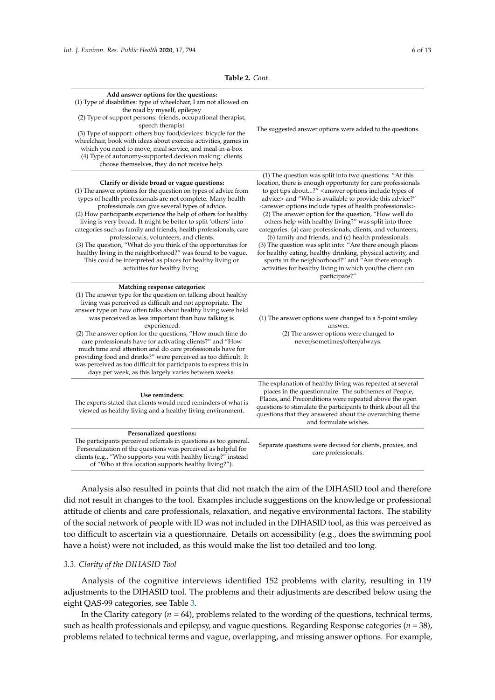<span id="page-5-0"></span>

| Add answer options for the questions:<br>(1) Type of disabilities: type of wheelchair, I am not allowed on<br>the road by myself, epilepsy<br>(2) Type of support persons: friends, occupational therapist,<br>speech therapist<br>(3) Type of support: others buy food/devices: bicycle for the<br>wheelchair, book with ideas about exercise activities, games in<br>which you need to move, meal service, and meal-in-a-box<br>(4) Type of autonomy-supported decision making: clients<br>choose themselves, they do not receive help.                                                                                                                                                                            | The suggested answer options were added to the questions.                                                                                                                                                                                                                                                                                                                                                                                                                                                                                                                                                                                                                                                                                                                                                                                                                     |
|----------------------------------------------------------------------------------------------------------------------------------------------------------------------------------------------------------------------------------------------------------------------------------------------------------------------------------------------------------------------------------------------------------------------------------------------------------------------------------------------------------------------------------------------------------------------------------------------------------------------------------------------------------------------------------------------------------------------|-------------------------------------------------------------------------------------------------------------------------------------------------------------------------------------------------------------------------------------------------------------------------------------------------------------------------------------------------------------------------------------------------------------------------------------------------------------------------------------------------------------------------------------------------------------------------------------------------------------------------------------------------------------------------------------------------------------------------------------------------------------------------------------------------------------------------------------------------------------------------------|
| Clarify or divide broad or vague questions:<br>(1) The answer options for the question on types of advice from<br>types of health professionals are not complete. Many health<br>professionals can give several types of advice.<br>(2) How participants experience the help of others for healthy<br>living is very broad. It might be better to split 'others' into<br>categories such as family and friends, health professionals, care<br>professionals, volunteers, and clients.<br>(3) The question, "What do you think of the opportunities for<br>healthy living in the neighborhood?" was found to be vague.<br>This could be interpreted as places for healthy living or<br>activities for healthy living. | (1) The question was split into two questions: "At this<br>location, there is enough opportunity for care professionals<br>to get tips about?" <answer include="" of<br="" options="" types="">advice&gt; and "Who is available to provide this advice?"<br/><answer health="" include="" of="" options="" professionals="" types="">.<br/>(2) The answer option for the question, "How well do<br/>others help with healthy living?" was split into three<br/>categories: (a) care professionals, clients, and volunteers,<br/>(b) family and friends, and (c) health professionals.<br/>(3) The question was split into: "Are there enough places<br/>for healthy eating, healthy drinking, physical activity, and<br/>sports in the neighborhood?" and "Are there enough<br/>activities for healthy living in which you/the client can<br/>participate?"</answer></answer> |
| Matching response categories:<br>(1) The answer type for the question on talking about healthy<br>living was perceived as difficult and not appropriate. The<br>answer type on how often talks about healthy living were held<br>was perceived as less important than how talking is<br>experienced.<br>(2) The answer option for the questions, "How much time do<br>care professionals have for activating clients?" and "How<br>much time and attention and do care professionals have for<br>providing food and drinks?" were perceived as too difficult. It<br>was perceived as too difficult for participants to express this in<br>days per week, as this largely varies between weeks.                       | (1) The answer options were changed to a 5-point smiley<br>answer.<br>(2) The answer options were changed to<br>never/sometimes/often/always.                                                                                                                                                                                                                                                                                                                                                                                                                                                                                                                                                                                                                                                                                                                                 |
| Use reminders:<br>The experts stated that clients would need reminders of what is<br>viewed as healthy living and a healthy living environment.                                                                                                                                                                                                                                                                                                                                                                                                                                                                                                                                                                      | The explanation of healthy living was repeated at several<br>places in the questionnaire. The subthemes of People,<br>Places, and Preconditions were repeated above the open<br>questions to stimulate the participants to think about all the<br>questions that they answered about the overarching theme<br>and formulate wishes.                                                                                                                                                                                                                                                                                                                                                                                                                                                                                                                                           |
| Personalized questions:<br>The participants perceived referrals in questions as too general.<br>Personalization of the questions was perceived as helpful for<br>clients (e.g., "Who supports you with healthy living?" instead                                                                                                                                                                                                                                                                                                                                                                                                                                                                                      | Separate questions were devised for clients, proxies, and<br>care professionals.                                                                                                                                                                                                                                                                                                                                                                                                                                                                                                                                                                                                                                                                                                                                                                                              |

**Table 2.** *Cont.*

Analysis also resulted in points that did not match the aim of the DIHASID tool and therefore did not result in changes to the tool. Examples include suggestions on the knowledge or professional attitude of clients and care professionals, relaxation, and negative environmental factors. The stability of the social network of people with ID was not included in the DIHASID tool, as this was perceived as too difficult to ascertain via a questionnaire. Details on accessibility (e.g., does the swimming pool have a hoist) were not included, as this would make the list too detailed and too long.

#### *3.3. Clarity of the DIHASID Tool*

of "Who at this location supports healthy living?").

Analysis of the cognitive interviews identified 152 problems with clarity, resulting in 119 adjustments to the DIHASID tool. The problems and their adjustments are described below using the eight QAS-99 categories, see Table [3.](#page-6-0)

In the Clarity category ( $n = 64$ ), problems related to the wording of the questions, technical terms, such as health professionals and epilepsy, and vague questions. Regarding Response categories (*n* = 38), problems related to technical terms and vague, overlapping, and missing answer options. For example,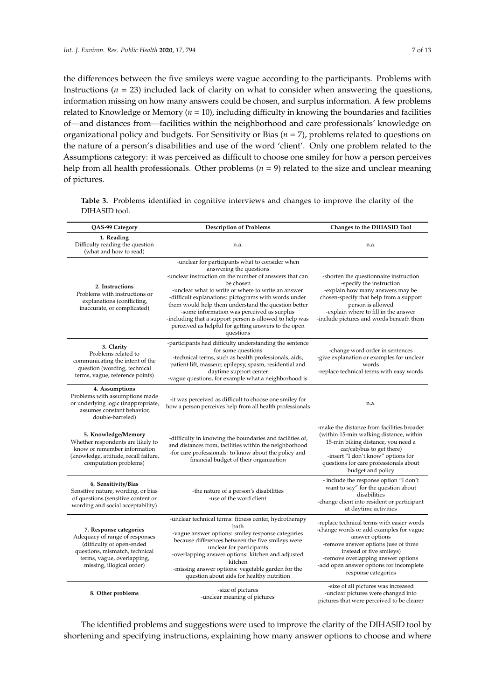the differences between the five smileys were vague according to the participants. Problems with Instructions ( $n = 23$ ) included lack of clarity on what to consider when answering the questions, information missing on how many answers could be chosen, and surplus information. A few problems related to Knowledge or Memory (*n* = 10), including difficulty in knowing the boundaries and facilities of—and distances from—facilities within the neighborhood and care professionals' knowledge on organizational policy and budgets. For Sensitivity or Bias (*n* = 7), problems related to questions on the nature of a person's disabilities and use of the word 'client'. Only one problem related to the Assumptions category: it was perceived as difficult to choose one smiley for how a person perceives help from all health professionals. Other problems ( $n = 9$ ) related to the size and unclear meaning of pictures.

<span id="page-6-0"></span>**Table 3.** Problems identified in cognitive interviews and changes to improve the clarity of the DIHASID tool.

| QAS-99 Category                                                                                                                                                                    | <b>Description of Problems</b>                                                                                                                                                                                                                                                                                                                                                                                                                                                                       | Changes to the DIHASID Tool                                                                                                                                                                                                                                                         |
|------------------------------------------------------------------------------------------------------------------------------------------------------------------------------------|------------------------------------------------------------------------------------------------------------------------------------------------------------------------------------------------------------------------------------------------------------------------------------------------------------------------------------------------------------------------------------------------------------------------------------------------------------------------------------------------------|-------------------------------------------------------------------------------------------------------------------------------------------------------------------------------------------------------------------------------------------------------------------------------------|
| 1. Reading<br>Difficulty reading the question<br>(what and how to read)                                                                                                            | n.a.                                                                                                                                                                                                                                                                                                                                                                                                                                                                                                 | n.a.                                                                                                                                                                                                                                                                                |
| 2. Instructions<br>Problems with instructions or<br>explanations (conflicting,<br>inaccurate, or complicated)                                                                      | -unclear for participants what to consider when<br>answering the questions<br>-unclear instruction on the number of answers that can<br>be chosen<br>-unclear what to write or where to write an answer<br>-difficult explanations: pictograms with words under<br>them would help them understand the question better<br>-some information was perceived as surplus<br>-including that a support person is allowed to help was<br>perceived as helpful for getting answers to the open<br>questions | -shorten the questionnaire instruction<br>-specify the instruction<br>-explain how many answers may be<br>chosen-specify that help from a support<br>person is allowed<br>-explain where to fill in the answer<br>-include pictures and words beneath them                          |
| 3. Clarity<br>Problems related to<br>communicating the intent of the<br>question (wording, technical<br>terms, vague, reference points)                                            | -participants had difficulty understanding the sentence<br>for some questions<br>-technical terms, such as health professionals, aids,<br>patient lift, masseur, epilepsy, spasm, residential and<br>daytime support center<br>-vague questions, for example what a neighborhood is                                                                                                                                                                                                                  | -change word order in sentences<br>-give explanation or examples for unclear<br>words<br>-replace technical terms with easy words                                                                                                                                                   |
| 4. Assumptions<br>Problems with assumptions made<br>or underlying logic (inappropriate,<br>assumes constant behavior,<br>double-barreled)                                          | -it was perceived as difficult to choose one smiley for<br>how a person perceives help from all health professionals                                                                                                                                                                                                                                                                                                                                                                                 | n.a.                                                                                                                                                                                                                                                                                |
| 5. Knowledge/Memory<br>Whether respondents are likely to<br>know or remember information<br>(knowledge, attitude, recall failure,<br>computation problems)                         | -difficulty in knowing the boundaries and facilities of,<br>and distances from, facilities within the neighborhood<br>-for care professionals: to know about the policy and<br>financial budget of their organization                                                                                                                                                                                                                                                                                | -make the distance from facilities broader<br>(within 15-min walking distance, within<br>15-min biking distance, you need a<br>car/cab/bus to get there)<br>-insert "I don't know" options for<br>questions for care professionals about<br>budget and policy                       |
| 6. Sensitivity/Bias<br>Sensitive nature, wording, or bias<br>of questions (sensitive content or<br>wording and social acceptability)                                               | -the nature of a person's disabilities<br>-use of the word client                                                                                                                                                                                                                                                                                                                                                                                                                                    | - include the response option "I don't<br>want to say" for the question about<br>disabilities<br>-change client into resident or participant<br>at daytime activities                                                                                                               |
| 7. Response categories<br>Adequacy of range of responses<br>(difficulty of open-ended<br>questions, mismatch, technical<br>terms, vague, overlapping,<br>missing, illogical order) | -unclear technical terms: fitness center, hydrotherapy<br>bath<br>-vague answer options: smiley response categories<br>because differences between the five smileys were<br>unclear for participants<br>-overlapping answer options: kitchen and adjusted<br>kitchen<br>-missing answer options: vegetable garden for the<br>question about aids for healthy nutrition                                                                                                                               | -replace technical terms with easier words<br>-change words or add examples for vague<br>answer options<br>-remove answer options (use of three<br>instead of five smileys)<br>-remove overlapping answer options<br>-add open answer options for incomplete<br>response categories |
| 8. Other problems                                                                                                                                                                  | -size of pictures<br>-unclear meaning of pictures                                                                                                                                                                                                                                                                                                                                                                                                                                                    | -size of all pictures was increased<br>-unclear pictures were changed into<br>pictures that were perceived to be clearer                                                                                                                                                            |

The identified problems and suggestions were used to improve the clarity of the DIHASID tool by shortening and specifying instructions, explaining how many answer options to choose and where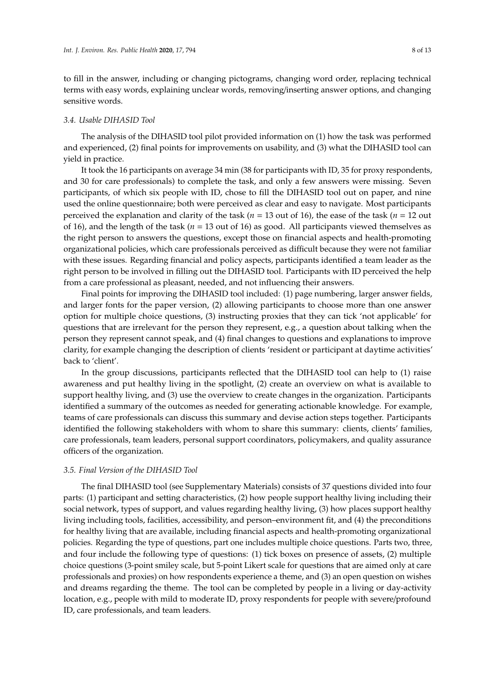to fill in the answer, including or changing pictograms, changing word order, replacing technical terms with easy words, explaining unclear words, removing/inserting answer options, and changing sensitive words.

#### *3.4. Usable DIHASID Tool*

The analysis of the DIHASID tool pilot provided information on (1) how the task was performed and experienced, (2) final points for improvements on usability, and (3) what the DIHASID tool can yield in practice.

It took the 16 participants on average 34 min (38 for participants with ID, 35 for proxy respondents, and 30 for care professionals) to complete the task, and only a few answers were missing. Seven participants, of which six people with ID, chose to fill the DIHASID tool out on paper, and nine used the online questionnaire; both were perceived as clear and easy to navigate. Most participants perceived the explanation and clarity of the task (*n* = 13 out of 16), the ease of the task (*n* = 12 out of 16), and the length of the task (*n* = 13 out of 16) as good. All participants viewed themselves as the right person to answers the questions, except those on financial aspects and health-promoting organizational policies, which care professionals perceived as difficult because they were not familiar with these issues. Regarding financial and policy aspects, participants identified a team leader as the right person to be involved in filling out the DIHASID tool. Participants with ID perceived the help from a care professional as pleasant, needed, and not influencing their answers.

Final points for improving the DIHASID tool included: (1) page numbering, larger answer fields, and larger fonts for the paper version, (2) allowing participants to choose more than one answer option for multiple choice questions, (3) instructing proxies that they can tick 'not applicable' for questions that are irrelevant for the person they represent, e.g., a question about talking when the person they represent cannot speak, and (4) final changes to questions and explanations to improve clarity, for example changing the description of clients 'resident or participant at daytime activities' back to 'client'.

In the group discussions, participants reflected that the DIHASID tool can help to (1) raise awareness and put healthy living in the spotlight, (2) create an overview on what is available to support healthy living, and (3) use the overview to create changes in the organization. Participants identified a summary of the outcomes as needed for generating actionable knowledge. For example, teams of care professionals can discuss this summary and devise action steps together. Participants identified the following stakeholders with whom to share this summary: clients, clients' families, care professionals, team leaders, personal support coordinators, policymakers, and quality assurance officers of the organization.

#### *3.5. Final Version of the DIHASID Tool*

The final DIHASID tool (see Supplementary Materials) consists of 37 questions divided into four parts: (1) participant and setting characteristics, (2) how people support healthy living including their social network, types of support, and values regarding healthy living, (3) how places support healthy living including tools, facilities, accessibility, and person–environment fit, and (4) the preconditions for healthy living that are available, including financial aspects and health-promoting organizational policies. Regarding the type of questions, part one includes multiple choice questions. Parts two, three, and four include the following type of questions: (1) tick boxes on presence of assets, (2) multiple choice questions (3-point smiley scale, but 5-point Likert scale for questions that are aimed only at care professionals and proxies) on how respondents experience a theme, and (3) an open question on wishes and dreams regarding the theme. The tool can be completed by people in a living or day-activity location, e.g., people with mild to moderate ID, proxy respondents for people with severe/profound ID, care professionals, and team leaders.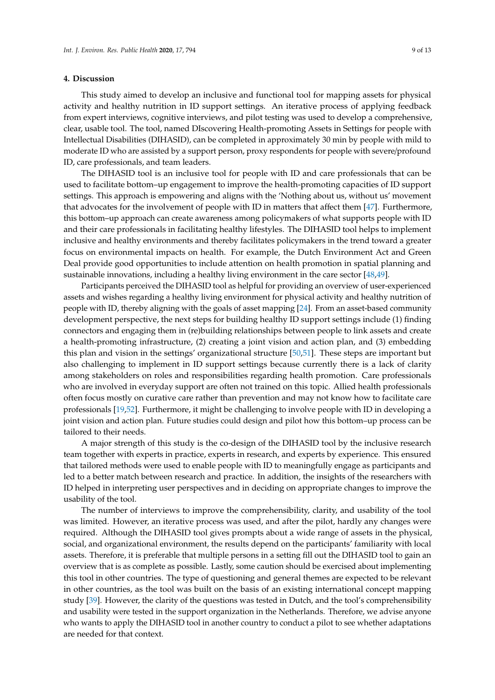#### **4. Discussion**

This study aimed to develop an inclusive and functional tool for mapping assets for physical activity and healthy nutrition in ID support settings. An iterative process of applying feedback from expert interviews, cognitive interviews, and pilot testing was used to develop a comprehensive, clear, usable tool. The tool, named DIscovering Health-promoting Assets in Settings for people with Intellectual Disabilities (DIHASID), can be completed in approximately 30 min by people with mild to moderate ID who are assisted by a support person, proxy respondents for people with severe/profound ID, care professionals, and team leaders.

The DIHASID tool is an inclusive tool for people with ID and care professionals that can be used to facilitate bottom–up engagement to improve the health-promoting capacities of ID support settings. This approach is empowering and aligns with the 'Nothing about us, without us' movement that advocates for the involvement of people with ID in matters that affect them [\[47\]](#page-11-11). Furthermore, this bottom–up approach can create awareness among policymakers of what supports people with ID and their care professionals in facilitating healthy lifestyles. The DIHASID tool helps to implement inclusive and healthy environments and thereby facilitates policymakers in the trend toward a greater focus on environmental impacts on health. For example, the Dutch Environment Act and Green Deal provide good opportunities to include attention on health promotion in spatial planning and sustainable innovations, including a healthy living environment in the care sector [\[48,](#page-12-0)[49\]](#page-12-1).

Participants perceived the DIHASID tool as helpful for providing an overview of user-experienced assets and wishes regarding a healthy living environment for physical activity and healthy nutrition of people with ID, thereby aligning with the goals of asset mapping [\[24\]](#page-10-15). From an asset-based community development perspective, the next steps for building healthy ID support settings include (1) finding connectors and engaging them in (re)building relationships between people to link assets and create a health-promoting infrastructure, (2) creating a joint vision and action plan, and (3) embedding this plan and vision in the settings' organizational structure [\[50,](#page-12-2)[51\]](#page-12-3). These steps are important but also challenging to implement in ID support settings because currently there is a lack of clarity among stakeholders on roles and responsibilities regarding health promotion. Care professionals who are involved in everyday support are often not trained on this topic. Allied health professionals often focus mostly on curative care rather than prevention and may not know how to facilitate care professionals [\[19,](#page-10-10)[52\]](#page-12-4). Furthermore, it might be challenging to involve people with ID in developing a joint vision and action plan. Future studies could design and pilot how this bottom–up process can be tailored to their needs.

A major strength of this study is the co-design of the DIHASID tool by the inclusive research team together with experts in practice, experts in research, and experts by experience. This ensured that tailored methods were used to enable people with ID to meaningfully engage as participants and led to a better match between research and practice. In addition, the insights of the researchers with ID helped in interpreting user perspectives and in deciding on appropriate changes to improve the usability of the tool.

The number of interviews to improve the comprehensibility, clarity, and usability of the tool was limited. However, an iterative process was used, and after the pilot, hardly any changes were required. Although the DIHASID tool gives prompts about a wide range of assets in the physical, social, and organizational environment, the results depend on the participants' familiarity with local assets. Therefore, it is preferable that multiple persons in a setting fill out the DIHASID tool to gain an overview that is as complete as possible. Lastly, some caution should be exercised about implementing this tool in other countries. The type of questioning and general themes are expected to be relevant in other countries, as the tool was built on the basis of an existing international concept mapping study [\[39\]](#page-11-3). However, the clarity of the questions was tested in Dutch, and the tool's comprehensibility and usability were tested in the support organization in the Netherlands. Therefore, we advise anyone who wants to apply the DIHASID tool in another country to conduct a pilot to see whether adaptations are needed for that context.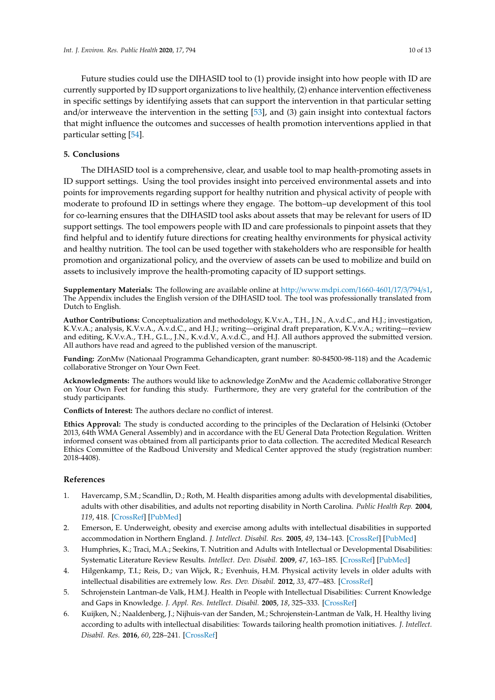Future studies could use the DIHASID tool to (1) provide insight into how people with ID are currently supported by ID support organizations to live healthily, (2) enhance intervention effectiveness in specific settings by identifying assets that can support the intervention in that particular setting and/or interweave the intervention in the setting [\[53\]](#page-12-5), and (3) gain insight into contextual factors that might influence the outcomes and successes of health promotion interventions applied in that particular setting [\[54\]](#page-12-6).

### **5. Conclusions**

The DIHASID tool is a comprehensive, clear, and usable tool to map health-promoting assets in ID support settings. Using the tool provides insight into perceived environmental assets and into points for improvements regarding support for healthy nutrition and physical activity of people with moderate to profound ID in settings where they engage. The bottom–up development of this tool for co-learning ensures that the DIHASID tool asks about assets that may be relevant for users of ID support settings. The tool empowers people with ID and care professionals to pinpoint assets that they find helpful and to identify future directions for creating healthy environments for physical activity and healthy nutrition. The tool can be used together with stakeholders who are responsible for health promotion and organizational policy, and the overview of assets can be used to mobilize and build on assets to inclusively improve the health-promoting capacity of ID support settings.

**Supplementary Materials:** The following are available online at http://[www.mdpi.com](http://www.mdpi.com/1660-4601/17/3/794/s1)/1660-4601/17/3/794/s1, The Appendix includes the English version of the DIHASID tool. The tool was professionally translated from Dutch to English.

**Author Contributions:** Conceptualization and methodology, K.V.v.A., T.H., J.N., A.v.d.C., and H.J.; investigation, K.V.v.A.; analysis, K.V.v.A., A.v.d.C., and H.J.; writing—original draft preparation, K.V.v.A.; writing—review and editing, K.V.v.A., T.H., G.L., J.N., K.v.d.V., A.v.d.C., and H.J. All authors approved the submitted version. All authors have read and agreed to the published version of the manuscript.

**Funding:** ZonMw (Nationaal Programma Gehandicapten, grant number: 80-84500-98-118) and the Academic collaborative Stronger on Your Own Feet.

**Acknowledgments:** The authors would like to acknowledge ZonMw and the Academic collaborative Stronger on Your Own Feet for funding this study. Furthermore, they are very grateful for the contribution of the study participants.

**Conflicts of Interest:** The authors declare no conflict of interest.

**Ethics Approval:** The study is conducted according to the principles of the Declaration of Helsinki (October 2013, 64th WMA General Assembly) and in accordance with the EU General Data Protection Regulation. Written informed consent was obtained from all participants prior to data collection. The accredited Medical Research Ethics Committee of the Radboud University and Medical Center approved the study (registration number: 2018-4408).

#### **References**

- <span id="page-9-0"></span>1. Havercamp, S.M.; Scandlin, D.; Roth, M. Health disparities among adults with developmental disabilities, adults with other disabilities, and adults not reporting disability in North Carolina. *Public Health Rep.* **2004**, *119*, 418. [\[CrossRef\]](http://dx.doi.org/10.1016/j.phr.2004.05.006) [\[PubMed\]](http://www.ncbi.nlm.nih.gov/pubmed/15219799)
- 2. Emerson, E. Underweight, obesity and exercise among adults with intellectual disabilities in supported accommodation in Northern England. *J. Intellect. Disabil. Res.* **2005**, *49*, 134–143. [\[CrossRef\]](http://dx.doi.org/10.1111/j.1365-2788.2004.00617.x) [\[PubMed\]](http://www.ncbi.nlm.nih.gov/pubmed/15634322)
- 3. Humphries, K.; Traci, M.A.; Seekins, T. Nutrition and Adults with Intellectual or Developmental Disabilities: Systematic Literature Review Results. *Intellect. Dev. Disabil.* **2009**, *47*, 163–185. [\[CrossRef\]](http://dx.doi.org/10.1352/1934-9556-47.3.163) [\[PubMed\]](http://www.ncbi.nlm.nih.gov/pubmed/19489663)
- <span id="page-9-1"></span>4. Hilgenkamp, T.I.; Reis, D.; van Wijck, R.; Evenhuis, H.M. Physical activity levels in older adults with intellectual disabilities are extremely low. *Res. Dev. Disabil.* **2012**, *33*, 477–483. [\[CrossRef\]](http://dx.doi.org/10.1016/j.ridd.2011.10.011)
- <span id="page-9-2"></span>5. Schrojenstein Lantman-de Valk, H.M.J. Health in People with Intellectual Disabilities: Current Knowledge and Gaps in Knowledge. *J. Appl. Res. Intellect. Disabil.* **2005**, *18*, 325–333. [\[CrossRef\]](http://dx.doi.org/10.1111/j.1468-3148.2005.00265.x)
- <span id="page-9-3"></span>6. Kuijken, N.; Naaldenberg, J.; Nijhuis-van der Sanden, M.; Schrojenstein-Lantman de Valk, H. Healthy living according to adults with intellectual disabilities: Towards tailoring health promotion initiatives. *J. Intellect. Disabil. Res.* **2016**, *60*, 228–241. [\[CrossRef\]](http://dx.doi.org/10.1111/jir.12243)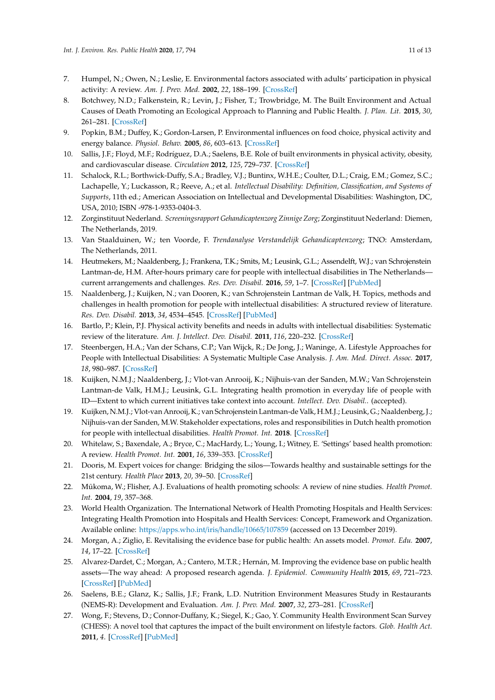- <span id="page-10-0"></span>7. Humpel, N.; Owen, N.; Leslie, E. Environmental factors associated with adults' participation in physical activity: A review. *Am. J. Prev. Med.* **2002**, *22*, 188–199. [\[CrossRef\]](http://dx.doi.org/10.1016/S0749-3797(01)00426-3)
- 8. Botchwey, N.D.; Falkenstein, R.; Levin, J.; Fisher, T.; Trowbridge, M. The Built Environment and Actual Causes of Death Promoting an Ecological Approach to Planning and Public Health. *J. Plan. Lit.* **2015**, *30*, 261–281. [\[CrossRef\]](http://dx.doi.org/10.1177/0885412214561337)
- 9. Popkin, B.M.; Duffey, K.; Gordon-Larsen, P. Environmental influences on food choice, physical activity and energy balance. *Physiol. Behav.* **2005**, *86*, 603–613. [\[CrossRef\]](http://dx.doi.org/10.1016/j.physbeh.2005.08.051)
- <span id="page-10-1"></span>10. Sallis, J.F.; Floyd, M.F.; Rodríguez, D.A.; Saelens, B.E. Role of built environments in physical activity, obesity, and cardiovascular disease. *Circulation* **2012**, *125*, 729–737. [\[CrossRef\]](http://dx.doi.org/10.1161/CIRCULATIONAHA.110.969022)
- <span id="page-10-2"></span>11. Schalock, R.L.; Borthwick-Duffy, S.A.; Bradley, V.J.; Buntinx, W.H.E.; Coulter, D.L.; Craig, E.M.; Gomez, S.C.; Lachapelle, Y.; Luckasson, R.; Reeve, A.; et al. *Intellectual Disability: Definition, Classification, and Systems of Supports*, 11th ed.; American Association on Intellectual and Developmental Disabilities: Washington, DC, USA, 2010; ISBN -978-1-9353-0404-3.
- <span id="page-10-3"></span>12. Zorginstituut Nederland. *Screeningsrapport Gehandicaptenzorg Zinnige Zorg*; Zorginstituut Nederland: Diemen, The Netherlands, 2019.
- <span id="page-10-4"></span>13. Van Staalduinen, W.; ten Voorde, F. *Trendanalyse Verstandelijk Gehandicaptenzorg*; TNO: Amsterdam, The Netherlands, 2011.
- <span id="page-10-5"></span>14. Heutmekers, M.; Naaldenberg, J.; Frankena, T.K.; Smits, M.; Leusink, G.L.; Assendelft, W.J.; van Schrojenstein Lantman-de, H.M. After-hours primary care for people with intellectual disabilities in The Netherlands current arrangements and challenges. *Res. Dev. Disabil.* **2016**, *59*, 1–7. [\[CrossRef\]](http://dx.doi.org/10.1016/j.ridd.2016.07.007) [\[PubMed\]](http://www.ncbi.nlm.nih.gov/pubmed/27484922)
- <span id="page-10-6"></span>15. Naaldenberg, J.; Kuijken, N.; van Dooren, K.; van Schrojenstein Lantman de Valk, H. Topics, methods and challenges in health promotion for people with intellectual disabilities: A structured review of literature. *Res. Dev. Disabil.* **2013**, *34*, 4534–4545. [\[CrossRef\]](http://dx.doi.org/10.1016/j.ridd.2013.09.029) [\[PubMed\]](http://www.ncbi.nlm.nih.gov/pubmed/24161461)
- <span id="page-10-7"></span>16. Bartlo, P.; Klein, P.J. Physical activity benefits and needs in adults with intellectual disabilities: Systematic review of the literature. *Am. J. Intellect. Dev. Disabil.* **2011**, *116*, 220–232. [\[CrossRef\]](http://dx.doi.org/10.1352/1944-7558-116.3.220)
- <span id="page-10-8"></span>17. Steenbergen, H.A.; Van der Schans, C.P.; Van Wijck, R.; De Jong, J.; Waninge, A. Lifestyle Approaches for People with Intellectual Disabilities: A Systematic Multiple Case Analysis. *J. Am. Med. Direct. Assoc.* **2017**, *18*, 980–987. [\[CrossRef\]](http://dx.doi.org/10.1016/j.jamda.2017.06.009)
- <span id="page-10-9"></span>18. Kuijken, N.M.J.; Naaldenberg, J.; Vlot-van Anrooij, K.; Nijhuis-van der Sanden, M.W.; Van Schrojenstein Lantman-de Valk, H.M.J.; Leusink, G.L. Integrating health promotion in everyday life of people with ID—Extent to which current initiatives take context into account. *Intellect. Dev. Disabil.*. (accepted).
- <span id="page-10-10"></span>19. Kuijken, N.M.J.; Vlot-van Anrooij, K.; van Schrojenstein Lantman-de Valk, H.M.J.; Leusink, G.; Naaldenberg, J.; Nijhuis-van der Sanden, M.W. Stakeholder expectations, roles and responsibilities in Dutch health promotion for people with intellectual disabilities. *Health Promot. Int.* **2018**. [\[CrossRef\]](http://dx.doi.org/10.1093/heapro/day059)
- <span id="page-10-11"></span>20. Whitelaw, S.; Baxendale, A.; Bryce, C.; MacHardy, L.; Young, I.; Witney, E. 'Settings' based health promotion: A review. *Health Promot. Int.* **2001**, *16*, 339–353. [\[CrossRef\]](http://dx.doi.org/10.1093/heapro/16.4.339)
- <span id="page-10-12"></span>21. Dooris, M. Expert voices for change: Bridging the silos—Towards healthy and sustainable settings for the 21st century. *Health Place* **2013**, *20*, 39–50. [\[CrossRef\]](http://dx.doi.org/10.1016/j.healthplace.2012.11.009)
- <span id="page-10-13"></span>22. Mũkoma, W.; Flisher, A.J. Evaluations of health promoting schools: A review of nine studies. *Health Promot. Int.* **2004**, *19*, 357–368.
- <span id="page-10-14"></span>23. World Health Organization. The International Network of Health Promoting Hospitals and Health Services: Integrating Health Promotion into Hospitals and Health Services: Concept, Framework and Organization. Available online: https://[apps.who.int](https://apps.who.int/iris/handle/10665/107859)/iris/handle/10665/107859 (accessed on 13 December 2019).
- <span id="page-10-15"></span>24. Morgan, A.; Ziglio, E. Revitalising the evidence base for public health: An assets model. *Promot. Edu.* **2007**, *14*, 17–22. [\[CrossRef\]](http://dx.doi.org/10.1177/10253823070140020701x)
- <span id="page-10-16"></span>25. Alvarez-Dardet, C.; Morgan, A.; Cantero, M.T.R.; Hernán, M. Improving the evidence base on public health assets—The way ahead: A proposed research agenda. *J. Epidemiol. Community Health* **2015**, *69*, 721–723. [\[CrossRef\]](http://dx.doi.org/10.1136/jech-2014-205096) [\[PubMed\]](http://www.ncbi.nlm.nih.gov/pubmed/25814694)
- <span id="page-10-17"></span>26. Saelens, B.E.; Glanz, K.; Sallis, J.F.; Frank, L.D. Nutrition Environment Measures Study in Restaurants (NEMS-R): Development and Evaluation. *Am. J. Prev. Med.* **2007**, *32*, 273–281. [\[CrossRef\]](http://dx.doi.org/10.1016/j.amepre.2006.12.022)
- 27. Wong, F.; Stevens, D.; Connor-Duffany, K.; Siegel, K.; Gao, Y. Community Health Environment Scan Survey (CHESS): A novel tool that captures the impact of the built environment on lifestyle factors. *Glob. Health Act.* **2011**, *4*. [\[CrossRef\]](http://dx.doi.org/10.3402/gha.v4i0.5276) [\[PubMed\]](http://www.ncbi.nlm.nih.gov/pubmed/21394246)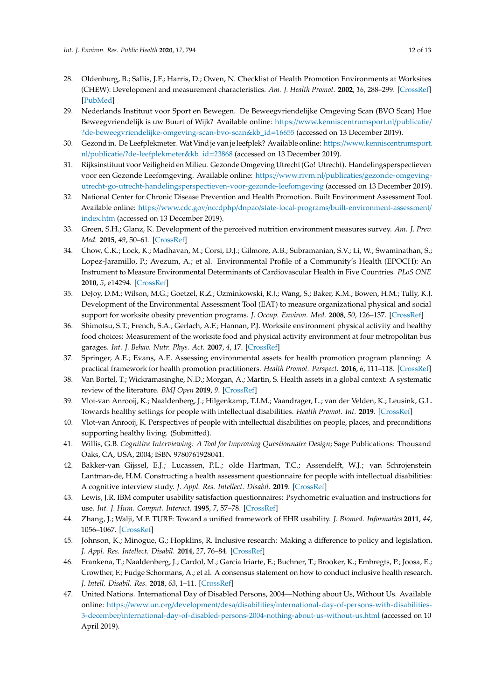- 28. Oldenburg, B.; Sallis, J.F.; Harris, D.; Owen, N. Checklist of Health Promotion Environments at Worksites (CHEW): Development and measurement characteristics. *Am. J. Health Promot.* **2002**, *16*, 288–299. [\[CrossRef\]](http://dx.doi.org/10.4278/0890-1171-16.5.288) [\[PubMed\]](http://www.ncbi.nlm.nih.gov/pubmed/12053440)
- 29. Nederlands Instituut voor Sport en Bewegen. De Beweegvriendelijke Omgeving Scan (BVO Scan) Hoe Beweegvriendelijk is uw Buurt of Wijk? Available online: https://[www.kenniscentrumsport.nl](https://www.kenniscentrumsport.nl/publicatie/?de-beweegvriendelijke-omgeving-scan-bvo-scan&kb_id=16655)/publicatie/ [?de-beweegvriendelijke-omgeving-scan-bvo-scan&kb\\_id](https://www.kenniscentrumsport.nl/publicatie/?de-beweegvriendelijke-omgeving-scan-bvo-scan&kb_id=16655)=16655 (accessed on 13 December 2019).
- 30. Gezond in. De Leefplekmeter. Wat Vind je van je leefplek? Available online: https://[www.kenniscentrumsport.](https://www.kenniscentrumsport.nl/publicatie/?de-leefplekmeter&kb_id=23868) nl/publicatie/[?de-leefplekmeter&kb\\_id](https://www.kenniscentrumsport.nl/publicatie/?de-leefplekmeter&kb_id=23868)=23868 (accessed on 13 December 2019).
- 31. Rijksinstituut voor Veiligheid en Milieu. Gezonde Omgeving Utrecht (Go! Utrecht). Handelingsperspectieven voor een Gezonde Leefomgeving. Available online: https://www.rivm.nl/publicaties/[gezonde-omgeving](https://www.rivm.nl/publicaties/gezonde-omgeving-utrecht-go-utrecht-handelingsperspectieven-voor-gezonde-leefomgeving)[utrecht-go-utrecht-handelingsperspectieven-voor-gezonde-leefomgeving](https://www.rivm.nl/publicaties/gezonde-omgeving-utrecht-go-utrecht-handelingsperspectieven-voor-gezonde-leefomgeving) (accessed on 13 December 2019).
- 32. National Center for Chronic Disease Prevention and Health Promotion. Built Environment Assessment Tool. Available online: https://www.cdc.gov/nccdphp/dnpao/state-local-programs/[built-environment-assessment](https://www.cdc.gov/nccdphp/dnpao/state-local-programs/built-environment-assessment/index.htm)/ [index.htm](https://www.cdc.gov/nccdphp/dnpao/state-local-programs/built-environment-assessment/index.htm) (accessed on 13 December 2019).
- 33. Green, S.H.; Glanz, K. Development of the perceived nutrition environment measures survey. *Am. J. Prev. Med.* **2015**, *49*, 50–61. [\[CrossRef\]](http://dx.doi.org/10.1016/j.amepre.2015.02.004)
- 34. Chow, C.K.; Lock, K.; Madhavan, M.; Corsi, D.J.; Gilmore, A.B.; Subramanian, S.V.; Li, W.; Swaminathan, S.; Lopez-Jaramillo, P.; Avezum, A.; et al. Environmental Profile of a Community's Health (EPOCH): An Instrument to Measure Environmental Determinants of Cardiovascular Health in Five Countries. *PLoS ONE* **2010**, *5*, e14294. [\[CrossRef\]](http://dx.doi.org/10.1371/journal.pone.0014294)
- 35. DeJoy, D.M.; Wilson, M.G.; Goetzel, R.Z.; Ozminkowski, R.J.; Wang, S.; Baker, K.M.; Bowen, H.M.; Tully, K.J. Development of the Environmental Assessment Tool (EAT) to measure organizational physical and social support for worksite obesity prevention programs. *J. Occup. Environ. Med.* **2008**, *50*, 126–137. [\[CrossRef\]](http://dx.doi.org/10.1097/JOM.0b013e318161b42a)
- <span id="page-11-0"></span>36. Shimotsu, S.T.; French, S.A.; Gerlach, A.F.; Hannan, P.J. Worksite environment physical activity and healthy food choices: Measurement of the worksite food and physical activity environment at four metropolitan bus garages. *Int. J. Behav. Nutr. Phys. Act.* **2007**, *4*, 17. [\[CrossRef\]](http://dx.doi.org/10.1186/1479-5868-4-17)
- <span id="page-11-1"></span>37. Springer, A.E.; Evans, A.E. Assessing environmental assets for health promotion program planning: A practical framework for health promotion practitioners. *Health Promot. Perspect.* **2016**, *6*, 111–118. [\[CrossRef\]](http://dx.doi.org/10.15171/hpp.2016.19)
- <span id="page-11-2"></span>38. Van Bortel, T.; Wickramasinghe, N.D.; Morgan, A.; Martin, S. Health assets in a global context: A systematic review of the literature. *BMJ Open* **2019**, *9*. [\[CrossRef\]](http://dx.doi.org/10.1136/bmjopen-2018-023810)
- <span id="page-11-3"></span>39. Vlot-van Anrooij, K.; Naaldenberg, J.; Hilgenkamp, T.I.M.; Vaandrager, L.; van der Velden, K.; Leusink, G.L. Towards healthy settings for people with intellectual disabilities. *Health Promot. Int.* **2019**. [\[CrossRef\]](http://dx.doi.org/10.1093/heapro/daz054)
- <span id="page-11-4"></span>40. Vlot-van Anrooij, K. Perspectives of people with intellectual disabilities on people, places, and preconditions supporting healthy living. (Submitted).
- <span id="page-11-5"></span>41. Willis, G.B. *Cognitive Interviewing: A Tool for Improving Questionnaire Design*; Sage Publications: Thousand Oaks, CA, USA, 2004; ISBN 9780761928041.
- <span id="page-11-6"></span>42. Bakker-van Gijssel, E.J.; Lucassen, P.L.; olde Hartman, T.C.; Assendelft, W.J.; van Schrojenstein Lantman-de, H.M. Constructing a health assessment questionnaire for people with intellectual disabilities: A cognitive interview study. *J. Appl. Res. Intellect. Disabil.* **2019**. [\[CrossRef\]](http://dx.doi.org/10.1111/jar.12676)
- <span id="page-11-7"></span>43. Lewis, J.R. IBM computer usability satisfaction questionnaires: Psychometric evaluation and instructions for use. *Int. J. Hum. Comput. Interact.* **1995**, *7*, 57–78. [\[CrossRef\]](http://dx.doi.org/10.1080/10447319509526110)
- <span id="page-11-8"></span>44. Zhang, J.; Walji, M.F. TURF: Toward a unified framework of EHR usability. *J. Biomed. Informatics* **2011**, *44*, 1056–1067. [\[CrossRef\]](http://dx.doi.org/10.1016/j.jbi.2011.08.005)
- <span id="page-11-9"></span>45. Johnson, K.; Minogue, G.; Hopklins, R. Inclusive research: Making a difference to policy and legislation. *J. Appl. Res. Intellect. Disabil.* **2014**, *27*, 76–84. [\[CrossRef\]](http://dx.doi.org/10.1111/jar.12085)
- <span id="page-11-10"></span>46. Frankena, T.; Naaldenberg, J.; Cardol, M.; Garcia Iriarte, E.; Buchner, T.; Brooker, K.; Embregts, P.; Joosa, E.; Crowther, F.; Fudge Schormans, A.; et al. A consensus statement on how to conduct inclusive health research. *J. Intell. Disabil. Res.* **2018**, *63*, 1–11. [\[CrossRef\]](http://dx.doi.org/10.1111/jir.12486)
- <span id="page-11-11"></span>47. United Nations. International Day of Disabled Persons, 2004—Nothing about Us, Without Us. Available online: https://www.un.org/development/desa/disabilities/[international-day-of-persons-with-disabilities-](https://www.un.org/development/desa/disabilities/international-day-of-persons-with-disabilities-3-december/international-day-of-disabled-persons-2004-nothing-about-us-without-us.html)3-december/[international-day-of-disabled-persons-2004-nothing-about-us-without-us.html](https://www.un.org/development/desa/disabilities/international-day-of-persons-with-disabilities-3-december/international-day-of-disabled-persons-2004-nothing-about-us-without-us.html) (accessed on 10 April 2019).